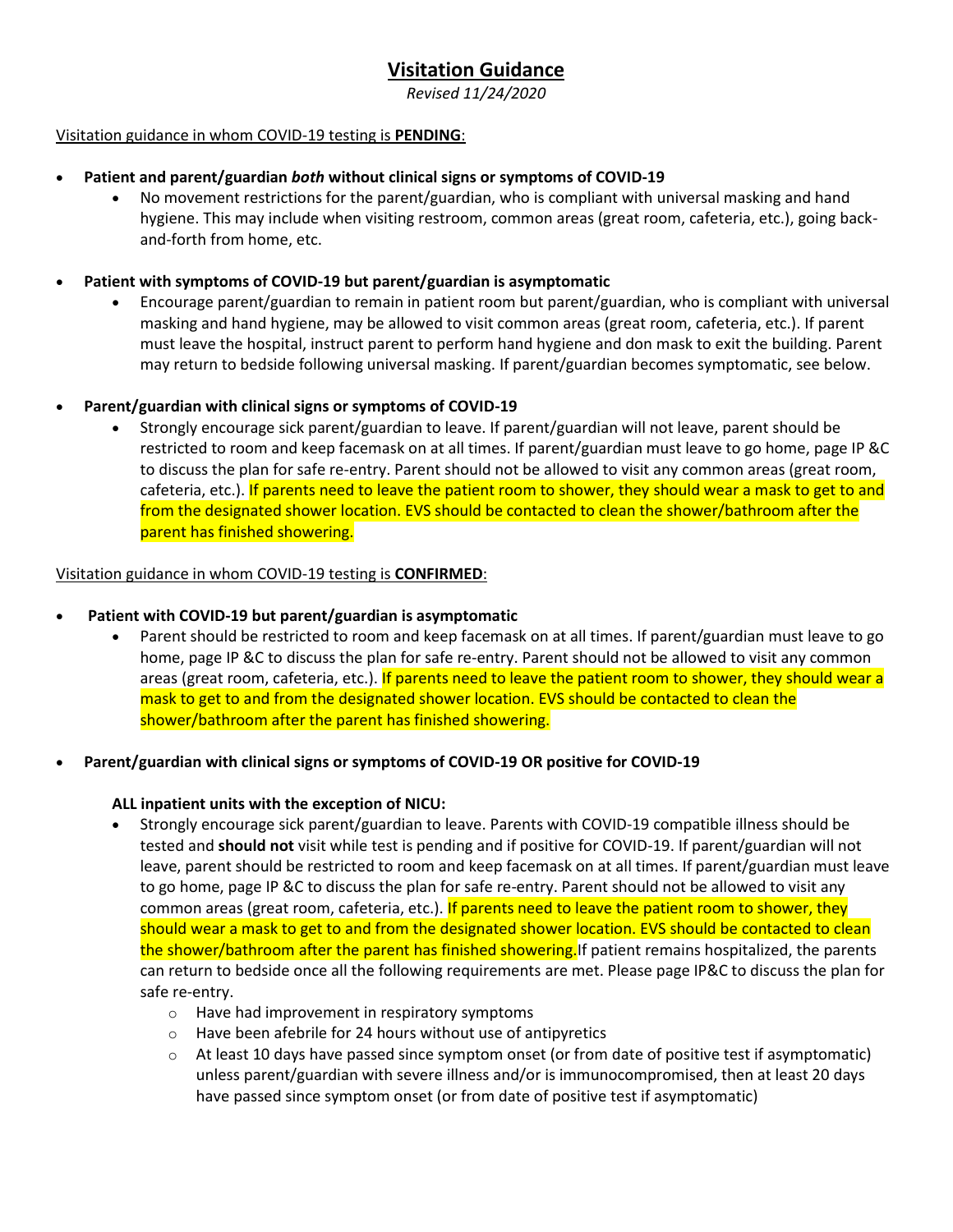# **Visitation Guidance**

*Revised 11/24/2020*

### Visitation guidance in whom COVID-19 testing is **PENDING**:

## • **Patient and parent/guardian** *both* **without clinical signs or symptoms of COVID-19**

• No movement restrictions for the parent/guardian, who is compliant with universal masking and hand hygiene. This may include when visiting restroom, common areas (great room, cafeteria, etc.), going backand-forth from home, etc.

### • **Patient with symptoms of COVID-19 but parent/guardian is asymptomatic**

• Encourage parent/guardian to remain in patient room but parent/guardian, who is compliant with universal masking and hand hygiene, may be allowed to visit common areas (great room, cafeteria, etc.). If parent must leave the hospital, instruct parent to perform hand hygiene and don mask to exit the building. Parent may return to bedside following universal masking. If parent/guardian becomes symptomatic, see below.

## • **Parent/guardian with clinical signs or symptoms of COVID-19**

• Strongly encourage sick parent/guardian to leave. If parent/guardian will not leave, parent should be restricted to room and keep facemask on at all times. If parent/guardian must leave to go home, page IP &C to discuss the plan for safe re-entry. Parent should not be allowed to visit any common areas (great room, cafeteria, etc.). If parents need to leave the patient room to shower, they should wear a mask to get to and from the designated shower location. EVS should be contacted to clean the shower/bathroom after the parent has finished showering.

#### Visitation guidance in whom COVID-19 testing is **CONFIRMED**:

### • **Patient with COVID-19 but parent/guardian is asymptomatic**

• Parent should be restricted to room and keep facemask on at all times. If parent/guardian must leave to go home, page IP &C to discuss the plan for safe re-entry. Parent should not be allowed to visit any common areas (great room, cafeteria, etc.). If parents need to leave the patient room to shower, they should wear a mask to get to and from the designated shower location. EVS should be contacted to clean the shower/bathroom after the parent has finished showering.

### • **Parent/guardian with clinical signs or symptoms of COVID-19 OR positive for COVID-19**

### **ALL inpatient units with the exception of NICU:**

- Strongly encourage sick parent/guardian to leave. Parents with COVID-19 compatible illness should be tested and **should not** visit while test is pending and if positive for COVID-19. If parent/guardian will not leave, parent should be restricted to room and keep facemask on at all times. If parent/guardian must leave to go home, page IP &C to discuss the plan for safe re-entry. Parent should not be allowed to visit any common areas (great room, cafeteria, etc.). If parents need to leave the patient room to shower, they should wear a mask to get to and from the designated shower location. EVS should be contacted to clean the shower/bathroom after the parent has finished showering. If patient remains hospitalized, the parents can return to bedside once all the following requirements are met. Please page IP&C to discuss the plan for safe re-entry.
	- o Have had improvement in respiratory symptoms
	- o Have been afebrile for 24 hours without use of antipyretics
	- $\circ$  At least 10 days have passed since symptom onset (or from date of positive test if asymptomatic) unless parent/guardian with severe illness and/or is immunocompromised, then at least 20 days have passed since symptom onset (or from date of positive test if asymptomatic)